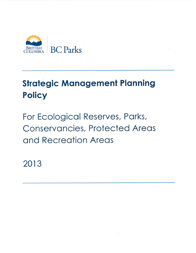

# **Strategic Management Planning Policy**

For Ecological Reserves, Parks, **Conservancies, Protected Areas** and Recreation Areas

2013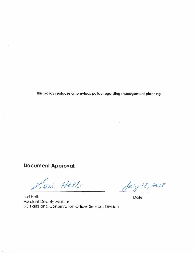This policy replaces all previous policy regarding management planning.

# **Document Approval:**

Lei Halls

Lori Halls **Assistant Deputy Minister** BC Parks and Conservation Officer Services Division

July 18, 2013

Date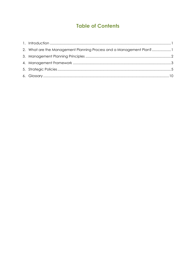# **Table of Contents**

| 2. What are the Management Planning Process and a Management Plan?1 |  |
|---------------------------------------------------------------------|--|
|                                                                     |  |
|                                                                     |  |
|                                                                     |  |
|                                                                     |  |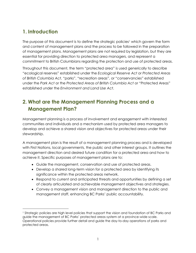# <span id="page-4-0"></span>**1. Introduction**

 $\overline{a}$ 

The purpose of this document is to define the strategic policies<sup>1</sup> which govern the form and content of management plans and the process to be followed in the preparation of management plans. Management plans are not required by legislation, but they are essential for providing direction to protected area managers, and represent a commitment to British Columbians regarding the protection and use of protected areas.

Throughout this document, the term "protected area" is used generically to describe "ecological reserves" established under the *Ecological Reserve Act* or *Protected Areas of British Columbia Act*, "parks", "recreation areas", or "conservancies" established under the *Park Act* or the *Protected Areas of British Columbia Act* or "Protected Areas" established under the *Environment and Land Use Act*.

# <span id="page-4-1"></span>**2. What are the Management Planning Process and a Management Plan?**

Management planning is a process of involvement and engagement with interested communities and individuals and a mechanism used by protected area managers to develop and achieve a shared vision and objectives for protected areas under their stewardship.

A management plan is the result of a management planning process and is developed with First Nations, local governments, the public and other interest groups. It outlines the management direction and desired future condition for a protected area and how to achieve it. Specific purposes of management plans are to:

- Guide the management, conservation and use of protected areas.
- Develop a shared long-term vision for a protected area by identifying its significance within the protected areas network.
- Respond to current and anticipated threats and opportunities by defining a set of clearly articulated and achievable management objectives and strategies.
- Convey a management vision and management direction to the public and management staff, enhancing BC Parks' public accountability.

<sup>1</sup> Strategic policies are high level policies that support the vision and foundation of BC Parks and guide the management of BC Parks' protected areas system at a province-wide scale. Operational policies provide further detail and guide the day-to-day operations of parks and protected areas.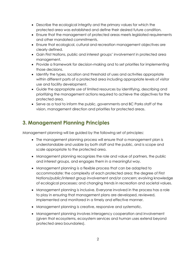- Describe the ecological integrity and the primary values for which the protected area was established and define their desired future condition.
- Ensure that the management of protected areas meets legislated requirements and other mandated commitments.
- Ensure that ecological, cultural and recreation management objectives are clearly defined.
- Gain First Nations, public and interest groups' involvement in protected area management.
- Provide a framework for decision-making and to set priorities for implementing those decisions.
- Identify the types, location and threshold of uses and activities appropriate within different parts of a protected area including appropriate levels of visitor use and facility development.
- Guide the appropriate use of limited resources by identifying, describing and prioritizing the management actions required to achieve the objectives for the protected area.
- Serve as a tool to inform the public, governments and BC Parks staff of the vision, management direction and priorities for protected areas.

# <span id="page-5-0"></span>**3. Management Planning Principles**

Management planning will be guided by the following set of principles:

- The management planning process will ensure that a management plan is understandable and usable by both staff and the public, and is scope and scale appropriate to the protected area.
- Management planning recognizes the role and value of partners, the public and interest groups, and engages them in a meaningful way.
- Management planning is a flexible process that can be adapted to accommodate: the complexity of each protected area; the degree of First Nations/public/interest group involvement and/or concern; evolving knowledge of ecological processes; and changing trends in recreation and societal values.
- Management planning is inclusive. Everyone involved in the process has a role to play in ensuring that management plans are developed, reviewed, implemented and monitored in a timely and effective manner.
- Management planning is creative, responsive and systematic.
- Management planning involves interagency cooperation and involvement (given that ecosystems, ecosystem services and human uses extend beyond protected area boundaries).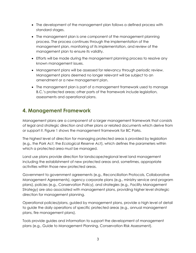- The development of the management plan follows a defined process with standard stages.
- The management plan is one component of the management planning process. The process continues through the implementation of the management plan, monitoring of its implementation, and review of the management plan to ensure its validity.
- Efforts will be made during the management planning process to resolve any known management issues.
- Management plans will be assessed for relevancy through periodic review. Management plans deemed no longer relevant will be subject to an amendment or a new management plan.
- The management plan is part of a management framework used to manage B.C.'s protected areas; other parts of the framework include legislation, assessments and operational plans.

# <span id="page-6-0"></span>**4. Management Framework**

Management plans are a component of a larger management framework that consists of legal and strategic direction and other plans or related documents which derive from or support it. Figure 1 shows the management framework for BC Parks.

The highest level of direction for managing protected areas is provided by legislation (e.g., the *Park Act*, the *Ecological Reserve Act*), which defines the parameters within which a protected area must be managed.

Land use plans provide direction for landscape/regional level land management including the establishment of new protected areas and, sometimes, appropriate activities within those new protected areas.

Government to government agreements (e.g., Reconciliation Protocols, Collaborative Management Agreements), agency corporate plans (e.g., ministry service and program plans), policies (e.g., Conservation Policy), and strategies (e.g., Facility Management Strategy) are also associated with management plans, providing higher level strategic direction for management planning.

Operational policies/plans, guided by management plans, provide a high level of detail to guide the daily operations of specific protected areas (e.g., annual management plans, fire management plans).

Tools provide guides and information to support the development of management plans (e.g., Guide to Management Planning, Conservation Risk Assessment).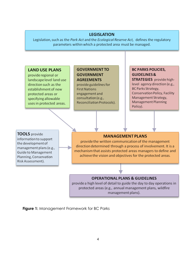#### **LEGISLATION**

Legislation, such as the Park Act and the Ecological Reserve Act, defines the regulatory parameters within which a protected area must be managed.

#### **LAND USE PLANS**

provide regional or landscape level land use direction such as the establishment of new protected areas or specifying allowable uses in protected areas.

## **GOVERNMENT TO GOVERNMENT AGREEMENTS**

provide guidelines for **First Nations** engagement and consultation (e.g., Reconciliation Protocols).

#### **BC PARKS POLICIES, GUIDELINES &** STRATEGIES provide highlevel agency direction (e.g., BC Parks Strategy, Conservation Policy, Facility Management Strategy, Management Planning Policy).

#### **TOOLS** provide

information to support the development of management plans (e.g., Guide to Management Planning, Conservation Risk Assessment).

#### **MANAGEMENT PLANS**

provide the written communication of the management direction determined through a process of involvement. It is a mechanism that assists protected areas managers to define and achieve the vision and objectives for the protected areas.

#### **OPERATIONAL PLANS & GUIDELINES**

provide a high level of detail to guide the day to day operations in protected areas (e.g., annual management plans, wildfire management plans).

**Figure 1:** Management Framework for BC Parks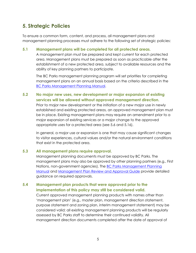# <span id="page-8-0"></span>**5. Strategic Policies**

To ensure a common form, content, and process, all management plans and management planning processes must adhere to the following set of strategic policies:

#### **5.1 Management plans will be completed for all protected areas.**

A management plan must be prepared and kept current for each protected area. Management plans must be prepared as soon as practicable after the establishment of a new protected area, subject to available resources and the ability of key planning partners to participate.

The BC Parks management planning program will set priorities for completing management plans on an annual basis based on the criteria described in the BC Parks Management Planning Manual.

## **5.2 No major new uses, new development or major expansion of existing services will be allowed without approved management direction.**

Prior to major new development or the initiation of a new major use in newly established and existing protected areas, an approved management plan must be in place. Existing management plans may require an amendment prior to a major expansion of existing services or a major change to the approved appropriate uses for a protected area (see 5.6 and 5.16).

In general, a major use or expansion is one that may cause significant changes to visitor experiences, cultural values and/or the natural environment conditions that exist in the protected area.

#### **5.3 All management plans require approval.**

Management planning documents must be approved by BC Parks. The management plans may also be approved by other planning partners (e.g., First Nations, non-government agencies). The BC Parks Management Planning Manual and Management Plan Review and Approval Guide provide detailed guidance on required approvals.

## **5.4 Management plan products that were approved prior to the implementation of this policy may still be considered valid.**

Current approved management planning products with names other than 'management plan' (e.g., master plan, management direction statement, purpose statement and zoning plan, interim management statement) may be considered valid; all existing management planning products will be regularly assessed by BC Parks staff to determine their continued validity. All management direction documents completed after the date of approval of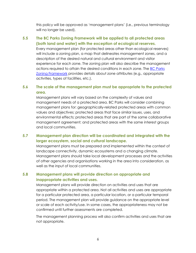this policy will be approved as 'management plans' (i.e., previous terminology will no longer be used).

## **5.5 The BC Parks Zoning Framework will be applied to all protected areas (both land and water) with the exception of ecological reserves.**

Every management plan (for protected areas other than ecological reserves) will include a zoning plan, a map that delineates management zones, and a description of the desired natural and cultural environment and visitor experience for each zone. The zoning plan will also describe the management actions required to attain the desired conditions in each zone. The BC Parks Zoning Framework provides details about zone attributes (e.g., appropriate activities, types of facilities, etc.).

## **5.6 The scale of the management plan must be appropriate to the protected area.**

Management plans will vary based on the complexity of values and management needs of a protected area. BC Parks will consider combining management plans for: geographically-related protected areas with common values and objectives; protected areas that face similar issues, uses, and environmental effects; protected areas that are part of the same collaborative management agreement; and protected areas with the same interest groups and local communities.

#### **5.7 Management plan direction will be coordinated and integrated with the larger ecosystem, social and cultural landscape.**

Management plans must be prepared and implemented within the context of landscape connectivity, dynamic ecosystems and a changing climate. Management plans should take local development processes and the activities of other agencies and organisations working in the area into consideration, as well as the input of local communities.

#### **5.8 Management plans will provide direction on appropriate and inappropriate activities and uses.**

Management plans will provide direction on activities and uses that are appropriate within a protected area. Not all activities and uses are appropriate for a particular protected area, a particular location, or a particular temporal period. The management plan will provide guidance on the appropriate level or scale of each activity/use. In some cases, the appropriateness may not be confirmed until further assessments are completed.

The management planning process will also confirm activities and uses that are not appropriate.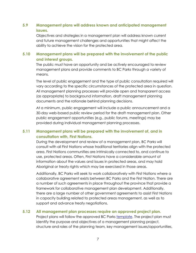## **5.9 Management plans will address known and anticipated management issues.**

Objectives and strategies in a management plan will address known current and future management challenges and opportunities that might affect the ability to achieve the vision for the protected area.

## **5.10 Management plans will be prepared with the involvement of the public and interest groups.**

The public must have an opportunity and be actively encouraged to review management plans and provide comments to BC Parks through a variety of means.

The level of public engagement and the type of public consultation required will vary according to the specific circumstances of the protected area in question. All management planning processes will provide open and transparent access (as appropriate) to background information, draft management planning documents and the rationale behind planning decisions.

At a minimum, public engagement will include a public announcement and a 30-day web-based public review period for the draft management plan. Other public engagement opportunities (e.g., public forums, meetings) may be provided during individual management planning processes.

#### **5.11 Management plans will be prepared with the involvement of, and in consultation with, First Nations.**

During the development and review of a management plan, BC Parks will consult with all First Nations whose traditional territories align with the protected area. First Nations communities are intrinsically connected to, and continue to use, protected areas. Often, First Nations have a considerable amount of information about the values and issues in protected areas, and may hold Aboriginal or treaty rights which may be exercised in those areas.

Additionally, BC Parks will seek to work collaboratively with First Nations where a collaborative agreement exists between BC Parks and the First Nation. There are a number of such agreements in place throughout the province that provide a framework for collaborative management plan development. Additionally, there are a large number of other government agreements to assist First Nations in capacity building related to protected areas management, as well as to support and advance treaty negotiations.

#### **5.12 All management plan processes require an approved project plan.**

Project plans will follow the approved BC Parks template. The project plan must identify the purpose and objectives of a management planning project, structure and roles of the planning team, key management issues/opportunities,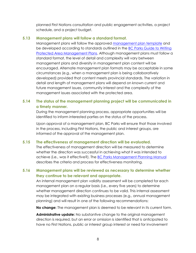planned First Nations consultation and public engagement activities, a project schedule, and a project budget.

#### **5.13 Management plans will follow a standard format.**

Management plans will follow the approved management plan template and be developed according to standards outlined in the BC Parks Guide to Writing Protected Area Management Plans. Although management plans must follow a standard format, the level of detail and complexity will vary between management plans and diversity in management plan content will be encouraged. Alternate management plan formats may be acceptable in some circumstances (e.g., when a management plan is being collaboratively developed) provided that content meets provincial standards. The variation in detail and length of management plans will depend on known current and future management issues, community interest and the complexity of the management issues associated with the protected area.

## **5.14 The status of the management planning project will be communicated in a timely manner.**

During the management planning process, appropriate opportunities will be identified to inform interested parties on the status of the process.

Upon approval of a management plan, BC Parks will ensure that those involved in the process, including First Nations, the public and interest groups, are informed of the approval of the management plan.

#### **5.15 The effectiveness of management direction will be evaluated.**

The effectiveness of management direction will be measured to determine whether the direction was successful in achieving what it was intended to achieve (i.e., was it effective?). The BC Parks Management Planning Manual describes the criteria and process for effectiveness monitoring.

## **5.16 Management plans will be reviewed as necessary to determine whether they continue to be relevant and appropriate.**

An internal management plan validity assessment will be completed for each management plan on a regular basis (i.e., every five years) to determine whether management direction continues to be valid. This internal assessment may be integrated with existing business processes (e.g., annual management planning) and will result in one of the following recommendations:

**No change:** The management plan is deemed to be relevant in its current form.

**Administrative update:** No substantive change to the original management direction is required, but an error or omission is identified that is anticipated to have no First Nations, public or interest group interest or need for involvement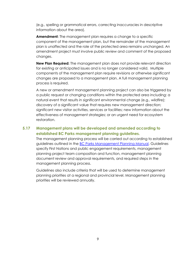(e.g., spelling or grammatical errors, correcting inaccuracies in descriptive information about the area).

**Amendment:** The management plan requires a change to a specific component of the management plan, but the remainder of the management plan is unaffected and the role of the protected area remains unchanged. An amendment project must involve public review and comment of the proposed changes.

**New Plan Required:** The management plan does not provide relevant direction for existing or anticipated issues and is no longer considered valid. Multiple components of the management plan require revisions or otherwise significant changes are proposed to a management plan. A full management planning process is required.

A new or amendment management planning project can also be triggered by a public request or changing conditions within the protected area including: a natural event that results in significant environmental change (e.g., wildfire); discovery of a significant value that requires new management direction; significant new visitor activities, services or facilities; new information about the effectiveness of management strategies; or an urgent need for ecosystem restoration.

#### **5.17 Management plans will be developed and amended according to established BC Parks management planning guidelines.**

The management planning process will be carried out according to established guidelines outlined in the BC Parks Management Planning Manual. Guidelines specify First Nations and public engagement requirements, management planning project team composition and function, management planning document review and approval requirements, and required steps in the management planning process.

Guidelines also include criteria that will be used to determine management planning priorities at a regional and provincial level. Management planning priorities will be reviewed annually.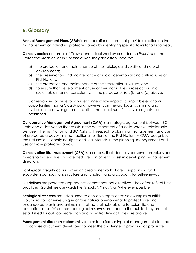# <span id="page-13-0"></span>**6. Glossary**

**Annual Management Plans (AMPs)** are operational plans that provide direction on the management of individual protected areas by identifying specific tasks for a fiscal year.

**Conservancies** are areas of Crown land established by or under the *Park Act* or the *Protected Areas of British Columbia Act*. They are established for:

- (a) the protection and maintenance of their biological diversity and natural environments;
- (b) the preservation and maintenance of social, ceremonial and cultural uses of First Nations;
- (c) the protection and maintenance of their recreational values; and
- (d) to ensure that development or use of their natural resources occurs in a sustainable manner consistent with the purposes of (a), (b) and (c) above.

Conservancies provide for a wider range of low impact, compatible economic opportunities than a Class A park, however commercial logging, mining and hydroelectric power generation, other than local run-of-the-river projects, are prohibited.

**Collaborative Management Agreement (CMA)** is a strategic agreement between BC Parks and a First Nation that assists in the development of a collaborative relationship between the First Nation and BC Parks with respect to planning, management and use of protected areas within the traditional territory of the First Nation. A CMA recognizes the First Nation's aboriginal rights and (or) interests in the planning, management and use of those protected areas.

**Conservation Risk Assessment (CRA)** is a process that identifies conservation values and threats to those values in protected areas in order to assist in developing management direction.

**Ecological integrity** occurs when an area or network of areas supports natural ecosystem composition, structure and function, and a capacity for self-renewal.

**Guidelines** are preferred approaches or methods, not directives. They often reflect best practices. Guidelines use words like "should", "may", or "wherever possible".

**Ecological reserves** are established to conserve representative examples of British Columbia; to conserve unique or rare natural phenomena; to protect rare and endangered plants and animals in their natural habitat; and for scientific and educational use. While most ecological reserves are open to the public, they are not established for outdoor recreation and no extractive activities are allowed.

**Management direction statement** is a term for a former type of management plan that is a concise document developed to meet the challenge of providing appropriate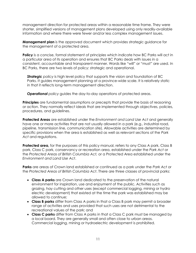management direction for protected areas within a reasonable time frame. They were shorter, simplified versions of management plans developed using only readily-available information and where there were fewer and/or less complex management issues.

**Management plan** is the approved document which provides strategic guidance for the management of a protected area.

**Policy** is a concise, formal statement of principles which indicate how BC Parks will act in a particular area of its operation and ensures that BC Parks deals with issues in a consistent, accountable and transparent manner. Words like "will" or "must" are used. In BC Parks, there are two levels of policy: strategic and operational.

*Strategic policy* is high level policy that supports the vision and foundation of BC Parks. It guides management planning at a province-wide scale. It is relatively static in that it reflects long-term management direction.

*Operational policy* guides the day-to-day operations of protected areas.

**Principles** are fundamental assumptions or precepts that provide the basis of reasoning or action. They normally reflect ideals that are implemented through objectives, policies, procedures, and guidelines.

**Protected Areas** are established under the *Environment and Land Use Act* and generally have one or more activities that are not usually allowed in a park (e.g., industrial road, pipeline, transmission line, communication site). Allowable activities are determined by specific provisions when the area is established as well as relevant sections of the *Park Act* and regulations.

**Protected area,** for the purposes of this policy manual, refers to any Class A park, Class B park, Class C park, conservancy or recreation area, established under the *Park Act* or the *Protected Areas of British Columbia Act,* or a Protected Area established under the *Environment and Land Use Act*.

**Parks** are areas of Crown land established or continued as a park under the *Park Act* or the *Protected Areas of British Columbia Act*. There are three classes of provincial parks:

- **Class A parks** are Crown land dedicated to the preservation of the natural environment for inspiration, use and enjoyment of the public. Activities such as grazing, hay cutting and other uses (except commercial logging, mining or hydro electric development) that existed at the time the park was established may be allowed to continue;
- **Class B parks** differ from Class A parks in that a Class B park may permit a broader range of activities and uses provided that such uses are not detrimental to the recreational values of the park; and
- **Class C parks** differ from Class A parks in that a Class C park must be managed by a local board. They are generally small and often close to urban areas. Commercial logging, mining or hydroelectric development is prohibited.